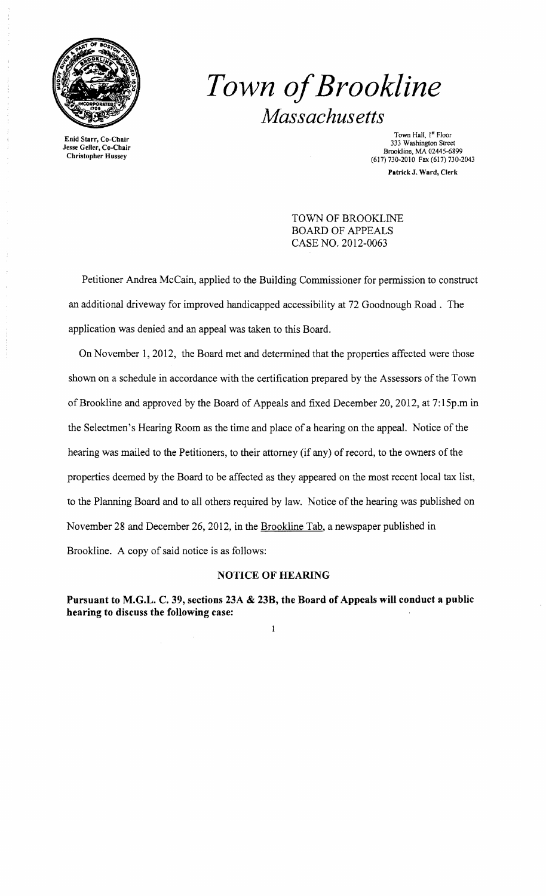

**Enid** Starr, Co-Chair Jesse Geller, Co-Chair Christopher Hussey

## *Town ofBrookline Massachusetts*

Town Hall, I" Floor 333 Washington Street Brookline, MA 02445-6899 (617) 730-2010 Fax (617) 730-2043 **Patrick** J. Ward, Clerk

TOWN OF BROOKLINE BOARD OF APPEALS CASE NO. 2012-0063

Petitioner Andrea McCain, applied to the Building Commissioner for permission to construct an additional driveway for improved handicapped accessibility at 72 Goodnough Road. The application was denied and an appeal was taken to this Board.

On November 1,2012, the Board met and determined that the properties affected were those shown on a schedule in accordance with the certification prepared by the Assessors of the Town ofBrookline and approved by the Board of Appeals and fixed December 20,2012, at 7:15p.m in the Selectmen's Hearing Room as the time and place of a hearing on the appeal. Notice of the hearing was mailed to the Petitioners, to their attorney (if any) of record, to the owners of the properties deemed by the Board to be affected as they appeared on the most recent local tax list, to the Planning Board and to all others required by law. Notice of the hearing was published on November 28 and December 26,2012, in the Brookline Tab, a newspaper published in Brookline. A copy of said notice is as follows:

## **NOTICE OF HEARING**

**Pursuant to M.G.L. C. 39, sections 23A & 23B, the Board of Appeals will conduct a public hearing to discuss the following case:** 

 $\mathbf{1}$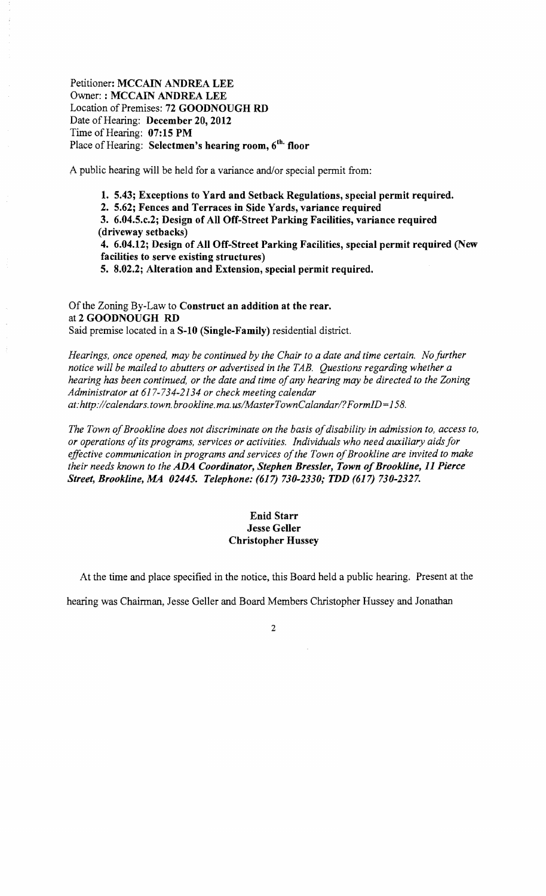Petitioner: **MCCAIN ANDREA LEE** Owner: **: MCCAIN ANDREA LEE** Location of Premises: **72 GOODNOUGH RD** Date of Hearing: December 20, 2012 Time of Hearing: **07:15 PM** Place of Hearing: **Selectmen's hearing room, 6th. floor** 

A public hearing will be held for a variance and/or special permit from:

**1. 5.43; Exceptions to Yard and Setback Regulations, special permit required.** 

**2. 5.62; Fences and Terraces in Side Yards, variance required** 

**3. 6.04.5.c.2; Design of All Off-Street Parking Facilities, variance required (driveway setbacks)** 

**4. 6.04.12; Design of All Off-Street Parking Facilities, special permit required (New facilities to serve existing structures)** 

**5. 8.02.2; Alteration and Extension, special permit required.** 

Of the Zoning By-Law to **Construct an addition at the rear.** at **2 GOODNOUGH RD** Said premise located in a **S-10 (Single-Family)** residential district.

*Hearings, once opened, may be continued by the Chair to a date and time certain. No further notice will be mailed to abutters or advertised in the TAB. Questions regarding whether a hearing has been continued, or the date and time ofany hearing may be directed to the Zoning Administrator at* 617-734-2134 *or check meeting calendar at: http://calendars.town.brookline.ma.usIMasterTownCalandarl? FormID= 158.* 

The Town of Brookline does not discriminate on the basis of disability in admission to, access to, *or operations ofits programs, services or activities. Individuals who need auxiliary aids for*  effective communication in programs and services of the Town of Brookline are invited to make *their needs known to the ADA Coordinator, Stephen Bressler, Town ofBrookline,* **11** *Pierce Street, Brookline,* **M4** *02445. Telephone:* **(617)** *730-2330; TDD* **(617)** *730-2327.* 

## **Enid Starr Jesse Geller Christopher Hussey**

At the time and place specified in the notice, this Board held a public hearing. Present at the

hearing was Chairman, Jesse Geller and Board Members Christopher Hussey and Jonathan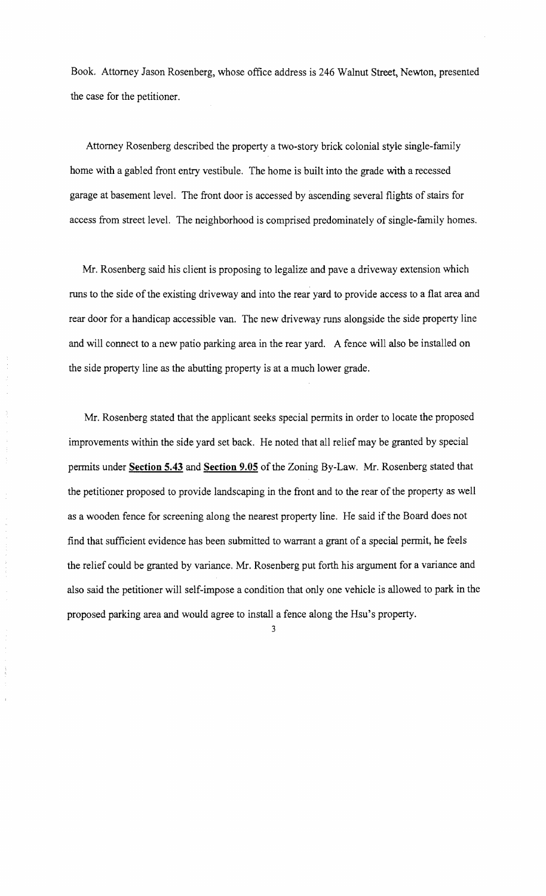Book. Attorney Jason Rosenberg, whose office address is 246 Walnut Street, Newton, presented the case for the petitioner.

Attorney Rosenberg described the property a two-story brick colonial style single-family home with a gabled front entry vestibule. The home is built into the grade with a recessed garage at basement level. The front door is accessed by ascending several flights of stairs for access from street level. The neighborhood is comprised predominately of single-family homes.

Mr. Rosenberg said his client is proposing to legalize and pave a driveway extension which runs to the side of the existing driveway and into the rear yard to provide access to a flat area and rear door for a handicap accessible van. The new driveway runs alongside the side property line and will connect to a new patio parking area in the rear yard. A fence will also be installed on the side property line as the abutting property is at a much lower grade.

Mr. Rosenberg stated that the applicant seeks special permits in order to locate the proposed improvements within the side yard set back. He noted that all relief may be granted by special permits under Section 5.43 and Section 9.05 of the Zoning By-Law. Mr. Rosenberg stated that the petitioner proposed to provide landscaping in the front and to the rear of the property as well as a wooden fence for screening along the nearest property line. He said if the Board does not find that sufficient evidence has been submitted to warrant a grant of a special pennit, he feels the relief could be granted by variance. Mr. Rosenberg put forth his argument for a variance and also said the petitioner will self-impose a condition that only one vehicle is allowed to park in the proposed parking area and would agree to install a fence along the Hsu's property.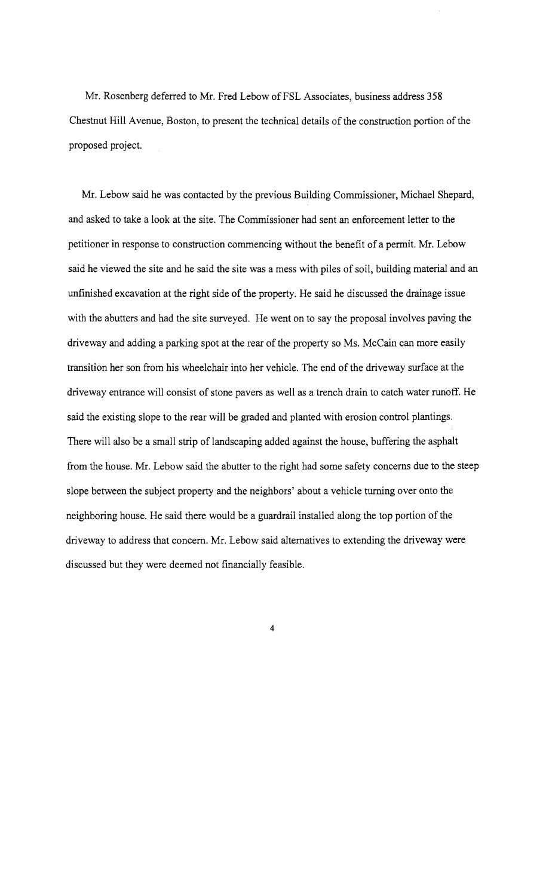Mr. Rosenberg deferred to Mr. Fred Lebow ofFSL Associates, business address 358 Chestnut Hill Avenue, Boston, to present the technical details of the construction portion of the proposed project.

Mr. Lebow said he was contacted by the previous Building Commissioner, Michael Shepard, and asked to take a look at the site. The Commissioner had sent an enforcement letter to the petitioner in response to construction commencing without the benefit of a permit. Mr. Lebow said he viewed the site and he said the site was a mess with piles of soil, building material and an unfinished excavation at the right side of the property. He said he discussed the drainage issue with the abutters and had the site surveyed. He went on to say the proposal involves paving the driveway and adding a parking spot at the rear of the property so Ms. McCain can more easily transition her son from his wheelchair into her vehicle. The end ofthe driveway surface at the driveway entrance will consist of stone pavers as well as a trench drain to catch water runoff. He said the existing slope to the rear will be graded and planted with erosion control plantings. There will also be a small strip of landscaping added against the house, buffering the asphalt from the house. Mr. Lebow said the abutter to the right had some safety concerns due to the steep slope between the subject property and the neighbors' about a vehicle turning over onto the neighboring house. He said there would be a guardrail installed along the top portion of the driveway to address that concern. Mr. Lebow said alternatives to extending the driveway were discussed but they were deemed not financially feasible.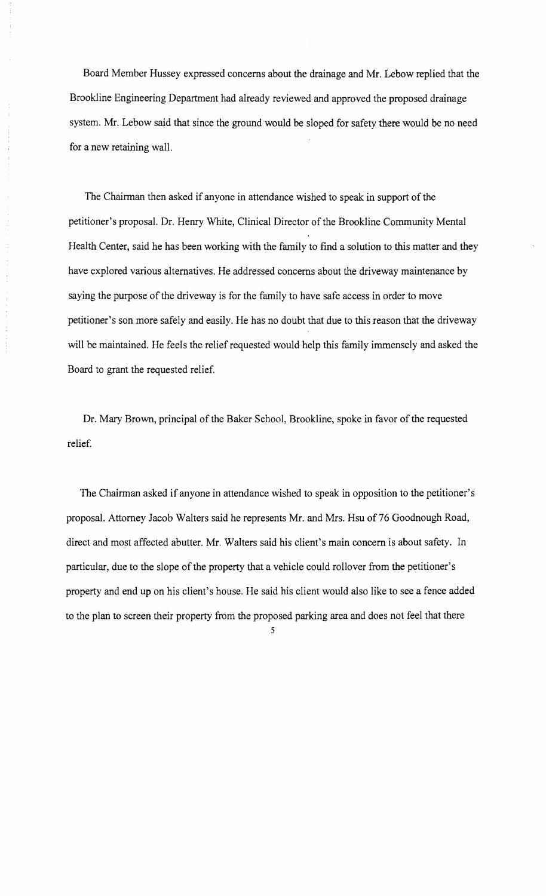Board Member Hussey expressed concerns about the drainage and Mr. Lebow replied that the Brookline Engineering Department had already reviewed and approved the proposed drainage system. Mr. Lebow said that since the ground would be sloped for safety there would be no need for a new retaining wall.

The Chairman then asked if anyone in attendance wished to speak in support of the petitioner's proposal. Dr. Henry White, Clinical Director of the Brookline Community Mental Health Center, said he has been working with the family to find a solution to this matter and they have explored various alternatives. He addressed concerns about the driveway maintenance by saying the purpose of the driveway is for the family to have safe access in order to move petitioner's son more safely and easily. He has no doubt that due to this reason that the driveway will be maintained. He feels the relief requested would help this family immensely and asked the Board to grant the requested relief.

Dr. Mary Brown, principal of the Baker School, Brookline, spoke in favor of the requested relief.

The Chairman asked if anyone in attendance wished to speak in opposition to the petitioner's proposal. Attorney Jacob Walters said he represents Mr. and Mrs. Hsu of 76 Goodnough Road, direct and most affected abutter. Mr. Walters said his client's main concern is about safety. In particular, due to the slope of the property that a vehicle could rollover from the petitioner's property and end up on his client's house. He said his client would also like to see a fence added to the plan to screen their property from the proposed parking area and does not feel that there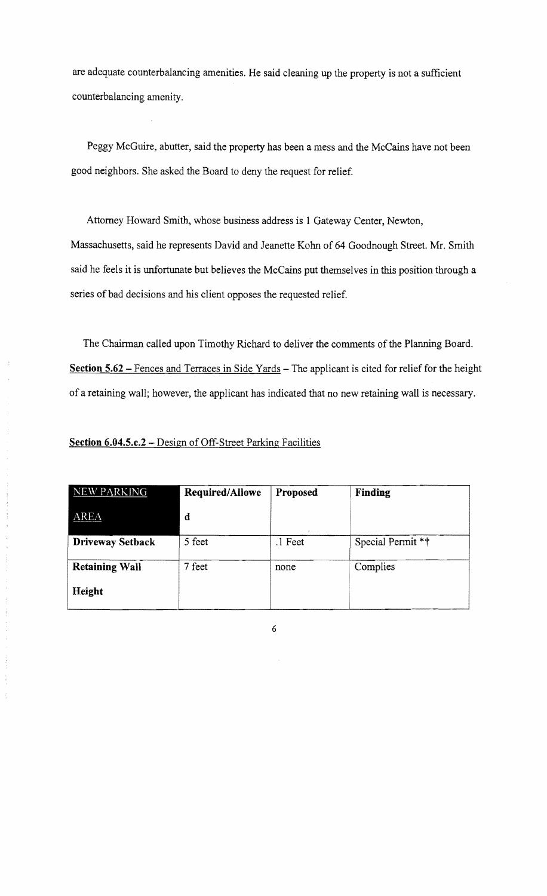are adequate counterbalancing amenities. He said cleaning up the property is not a sufficient counterbalancing amenity.

Peggy McGuire, abutter, said the property has been a mess and the McCains have not been good neighbors. She asked the Board to deny the request for relief.

Attorney Howard Smith, whose business address is 1 Gateway Center, Newton, Massachusetts, said he represents David and Jeanette Kohn of 64 Goodnough Street. Mr. Smith said he feels it is unfortunate but believes the McCains put themselves in this position through a series of bad decisions and his client opposes the requested relief.

The Chairman called upon Timothy Richard to deliver the comments of the Planning Board. **Section 5.62** - Fences and Terraces in Side Yards - The applicant is cited for relief for the height of a retaining wall; however, the applicant has indicated that no new retaining wall is necessary.

**Section 6.04.5.c.2** - Design of Off-Street Parking Facilities

 $\ddot{i}$ 

| <b>NEW PARKING</b>    | Required/Allowe | Proposed | Finding           |
|-----------------------|-----------------|----------|-------------------|
| <b>AREA</b>           | d               |          |                   |
| Driveway Setback      | 5 feet          | .1 Feet  | Special Permit ** |
| <b>Retaining Wall</b> | 7 feet          | none     | Complies          |
| Height                |                 |          |                   |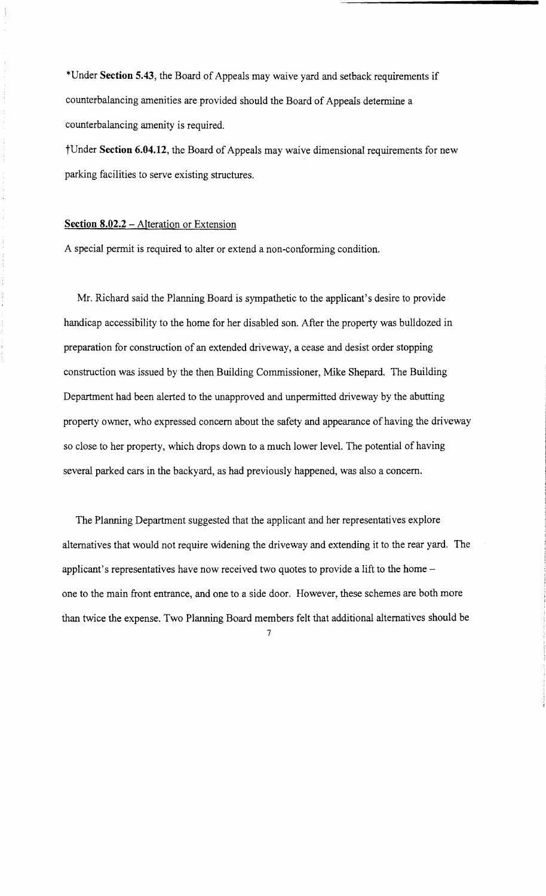\*Under **Section 5.43,** the Board of Appeals may waive yard and setback requirements if counterbalancing amenities are provided should the Board of Appeals determine a counterbalancing amenity is required.

tUnder **Section 6.04.12,** the Board of Appeals may waive dimensional requirements for new parking facilities to serve existing structures.

## **Section 8.02.2 – Alteration or Extension**

A special permit is required to alter or extend a non-conforming condition.

Mr. Richard said the Planning Board is sympathetic to the applicant's desire to provide handicap accessibility to the home for her disabled son. After the property was bulldozed in preparation for construction of an extended driveway, a cease and desist order stopping construction was issued by the then Building Commissioner, Mike Shepard. The Building Department had been alerted to the unapproved and unpermitted driveway by the abutting property owner, who expressed concern about the safety and appearance of having the driveway so close to her property, which drops down to a much lower level. The potential of having several parked cars in the backyard, as had previously happened, was also a concern.

The Planning Department suggested that the applicant and her representatives explore alternatives that would not require widening the driveway and extending it to the rear yard. The applicant's representatives have now received two quotes to provide a lift to the homeone to the main front entrance, and one to a side door. However, these schemes are both more than twice the expense. Two Planning Board members felt that additional alternatives should be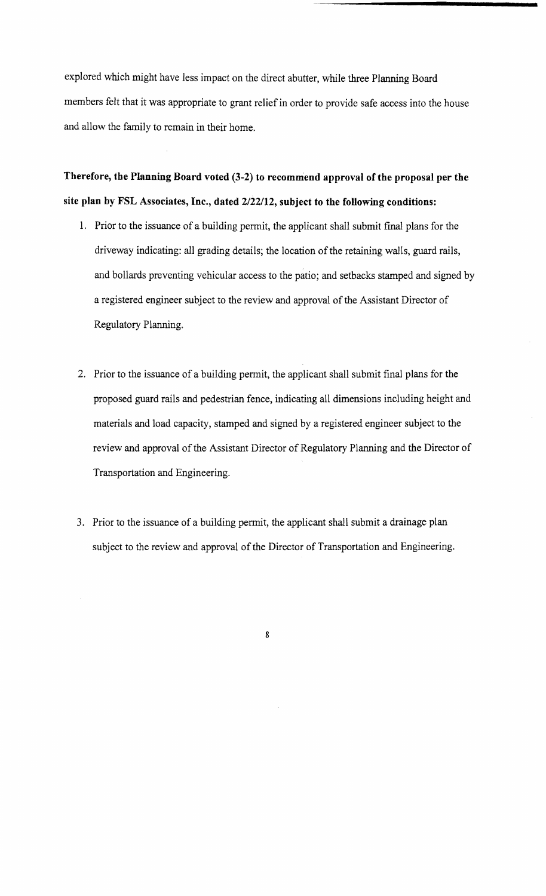explored which might have less impact on the direct abutter, while three Planning Board members felt that it was appropriate to grant relief in order to provide safe access into the house and allow the family to remain in their home.

Therefore, the Planning Board voted (3-2) to recommend approval of the proposal per the site plan by FSL Associates, Inc., dated *2/22/12,* subject to the following conditions:

- 1. Prior to the issuance of a building permit, the applicant shall submit final plans for the driveway indicating: all grading details; the location of the retaining walls, guard rails, and bollards preventing vehicular access to the patio; and setbacks stamped and signed by a registered engineer subject to the review and approval of the Assistant Director of Regulatory Planning.
- 2. Prior to the issuance of a building permit, the applicant shall submit final plans for the proposed guard rails and pedestrian fence, indicating all dimensions including height and materials and load capacity, stamped and signed by a registered engineer subject to the review and approval of the Assistant Director of Regulatory Planning and the Director of Transportation and Engineering.
- 3. Prior to the issuance of a building permit, the applicant shall submit a drainage plan subject to the review and approval of the Director of Transportation and Engineering.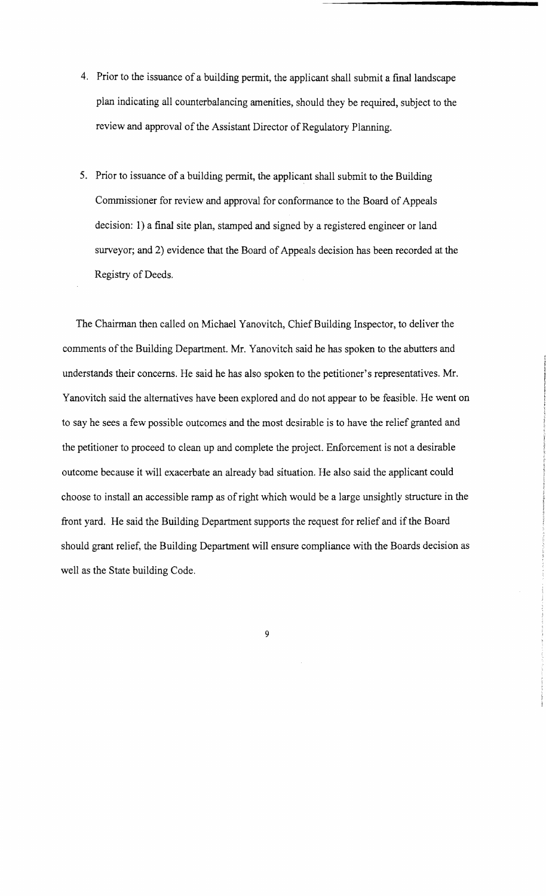- 4. Prior to the issuance of a building permit, the applicant shall submit a final landscape plan indicating all counterbalancing amenities, should they be required, subject to the review and approval of the Assistant Director of Regulatory Planning.
- 5. Prior to issuance of a building permit, the applicant shall submit to the Building Commissioner for review and approval for conformance to the Board of Appeals decision: 1) a final site plan, stamped and signed by a registered engineer or land surveyor; and 2) evidence that the Board of Appeals decision has been recorded at the Registry of Deeds.

The Chairman then called on Michael Yanovitch, Chief Building Inspector, to deliver the comments of the Building Department. Mr. Yanovitch said he has spoken to the abutters and understands their concerns. He said he has also spoken to the petitioner's representatives. Mr. Yanovitch said the alternatives have been explored and do not appear to be feasible. He went on to say he sees a few possible outcomes and the most desirable is to have the relief granted and the petitioner to proceed to clean up and complete the project. Enforcement is not a desirable outcome because it will exacerbate an already bad situation. He also said the applicant could choose to install an accessible ramp as ofright which would be a large unsightly structure in the front yard. He said the Building Department supports the request for relief and if the Board should grant relief, the Building Department will ensure compliance with the Boards decision as well as the State building Code.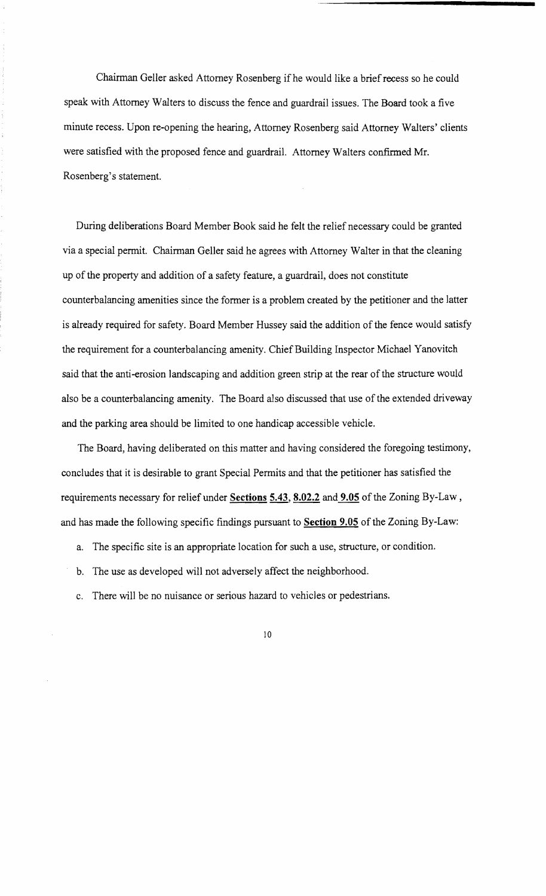Chairman Geller asked Attorney Rosenberg ifhe would like a brief recess so he could speak with Attorney Walters to discuss the fence and guardrail issues. The Board took a five minute recess. Upon re-opening the hearing, Attorney Rosenberg said Attorney Walters' clients were satisfied with the proposed fence and guardrail. Attorney Walters confirmed Mr. Rosenberg's statement.

During deliberations Board Member Book said he felt the relief necessary could be granted via a special permit. Chairman Geller said he agrees with Attorney Walter in that the cleaning up of the property and addition of a safety feature, a guardrail, does not constitute counterbalancing amenities since the former is a problem created by the petitioner and the latter is already required for safety. Board Member Hussey said the addition of the fence would satisfy the requirement for a counterbalancing amenity. Chief Building Inspector Michael Yanovitch said that the anti-erosion landscaping and addition green strip at the rear of the structure would also be a counterbalancing amenity. The Board also discussed that use of the extended driveway and the parking area should be limited to one handicap accessible vehicle.

The Board, having deliberated on this matter and having considered the foregoing testimony, concludes that it is desirable to grant Special Permits and that the petitioner has satisfied the requirements necessary for relief under **Sections 5.43, 8.02.2** and **9.05** of the Zoning By-Law, and has made the following specific findings pursuant to **Section 9.05** of the Zoning By-Law:

- a. The specific site is an appropriate location for such a use, structure, or condition.
- b. The use as developed will not adversely affect the neighborhood.
- c. There will be no nuisance or serious hazard to vehicles or pedestrians.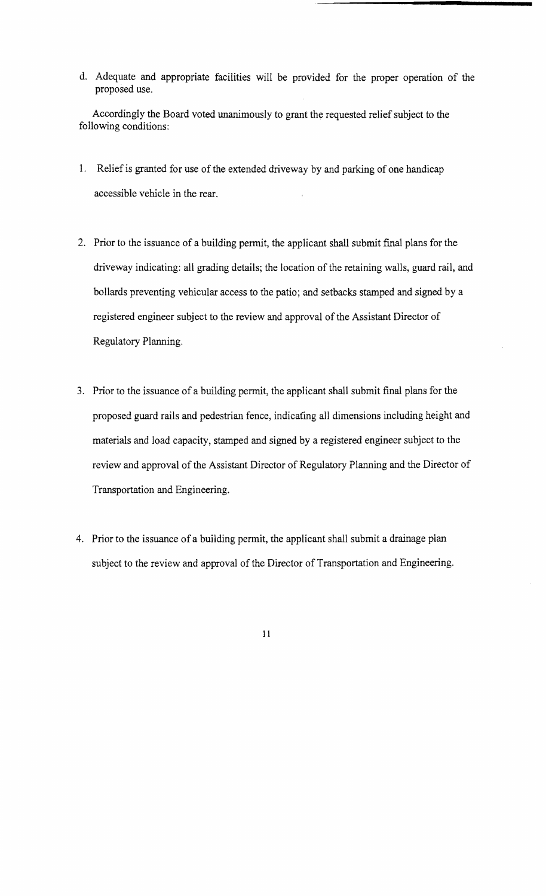d. Adequate and appropriate facilities will be provided for the proper operation of the proposed use.

Accordingly the Board voted unanimously to grant the requested relief subject to the following conditions:

- 1. Relief is granted for use of the extended driveway by and parking of one handicap accessible vehicle in the rear.
- 2. Prior to the issuance of a building permit, the applicant shall submit final plans for the driveway indicating: all grading details; the location of the retaining walls, guard rail, and bollards preventing vehicular access to the patio; and setbacks stamped and signed by a registered engineer subject to the review and approval of the Assistant Director of Regulatory Planning.
- 3. Prior to the issuance of a building permit, the applicant shall submit final plans for the proposed guard rails and pedestrian fence, indicating all dimensions including height and materials and load capacity, stamped and signed by a registered engineer subject to the review and approval of the Assistant Director of Regulatory Plarming and the Director of Transportation and Engineering.
- 4. Prior to the issuance of a building permit, the applicant shall submit a drainage plan subject to the review and approval of the Director of Transportation and Engineering.